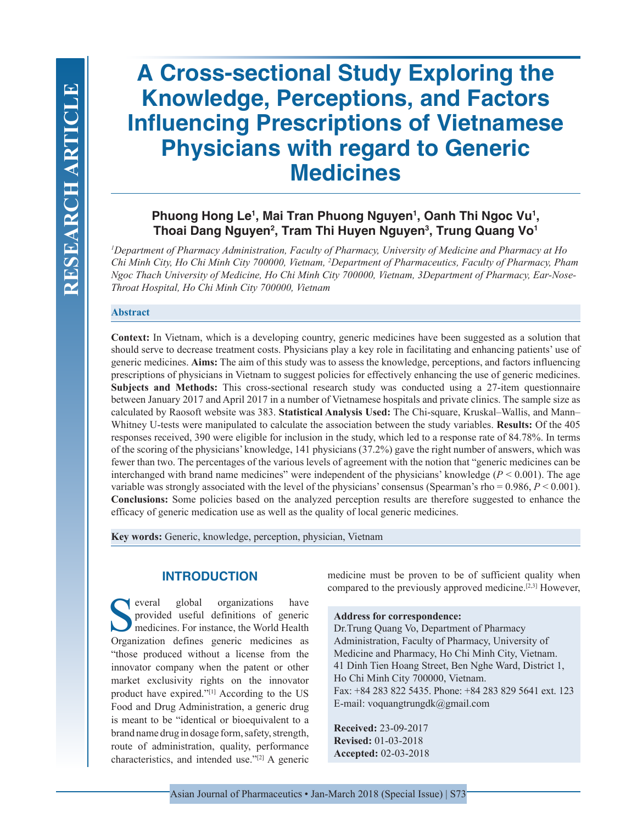# **A Cross-sectional Study Exploring the Knowledge, Perceptions, and Factors Influencing Prescriptions of Vietnamese Physicians with regard to Generic Medicines**

## Phuong Hong Le<sup>1</sup>, Mai Tran Phuong Nguyen<sup>1</sup>, Oanh Thi Ngoc Vu<sup>1</sup>, **Thoai Dang Nguyen2 , Tram Thi Huyen Nguyen3 , Trung Quang Vo1**

*1 Department of Pharmacy Administration, Faculty of Pharmacy, University of Medicine and Pharmacy at Ho Chi Minh City, Ho Chi Minh City 700000, Vietnam, 2 Department of Pharmaceutics, Faculty of Pharmacy, Pham Ngoc Thach University of Medicine, Ho Chi Minh City 700000, Vietnam, 3Department of Pharmacy, Ear-Nose-Throat Hospital, Ho Chi Minh City 700000, Vietnam*

#### **Abstract**

**Context:** In Vietnam, which is a developing country, generic medicines have been suggested as a solution that should serve to decrease treatment costs. Physicians play a key role in facilitating and enhancing patients' use of generic medicines. **Aims:** The aim of this study was to assess the knowledge, perceptions, and factors influencing prescriptions of physicians in Vietnam to suggest policies for effectively enhancing the use of generic medicines. **Subjects and Methods:** This cross-sectional research study was conducted using a 27-item questionnaire between January 2017 and April 2017 in a number of Vietnamese hospitals and private clinics. The sample size as calculated by Raosoft website was 383. **Statistical Analysis Used:** The Chi-square, Kruskal–Wallis, and Mann– Whitney U-tests were manipulated to calculate the association between the study variables. **Results:** Of the 405 responses received, 390 were eligible for inclusion in the study, which led to a response rate of 84.78%. In terms of the scoring of the physicians' knowledge, 141 physicians (37.2%) gave the right number of answers, which was fewer than two. The percentages of the various levels of agreement with the notion that "generic medicines can be interchanged with brand name medicines" were independent of the physicians' knowledge  $(P < 0.001)$ . The age variable was strongly associated with the level of the physicians' consensus (Spearman's rho =  $0.986$ ,  $P < 0.001$ ). **Conclusions:** Some policies based on the analyzed perception results are therefore suggested to enhance the efficacy of generic medication use as well as the quality of local generic medicines.

**Key words:** Generic, knowledge, perception, physician, Vietnam

## **INTRODUCTION**

Several global organizations have<br>provided useful definitions of generic<br>medicines. For instance, the World Health<br>Organization defines generic medicines provided useful definitions of generic medicines. For instance, the World Health Organization defines generic medicines as "those produced without a license from the innovator company when the patent or other market exclusivity rights on the innovator product have expired."[1] According to the US Food and Drug Administration, a generic drug is meant to be "identical or bioequivalent to a brand name drug in dosage form, safety, strength, route of administration, quality, performance characteristics, and intended use."[2] A generic

medicine must be proven to be of sufficient quality when compared to the previously approved medicine.[2,3] However,

#### **Address for correspondence:**

Dr.Trung Quang Vo, Department of Pharmacy Administration, Faculty of Pharmacy, University of Medicine and Pharmacy, Ho Chi Minh City, Vietnam. 41 Dinh Tien Hoang Street, Ben Nghe Ward, District 1, Ho Chi Minh City 700000, Vietnam. Fax: +84 283 822 5435. Phone: +84 283 829 5641 ext. 123 E-mail: voquangtrungdk@gmail.com

**Received:** 23-09-2017 **Revised:** 01-03-2018 **Accepted:** 02-03-2018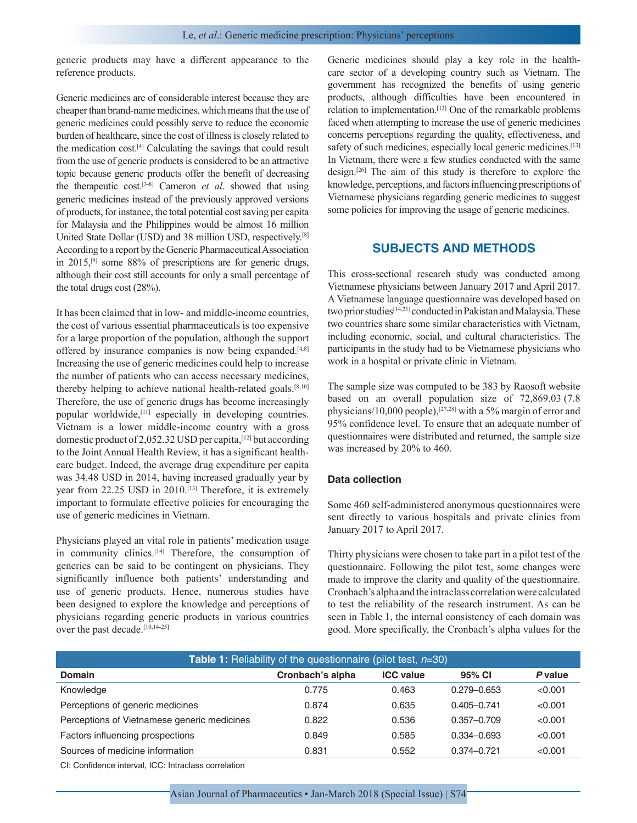generic products may have a different appearance to the reference products.

Generic medicines are of considerable interest because they are cheaper than brand-name medicines, which means that the use of generic medicines could possibly serve to reduce the economic burden of healthcare, since the cost of illness is closely related to the medication cost.[4] Calculating the savings that could result from the use of generic products is considered to be an attractive topic because generic products offer the benefit of decreasing the therapeutic cost.[3-8] Cameron *et al*. showed that using generic medicines instead of the previously approved versions of products, for instance, the total potential cost saving per capita for Malaysia and the Philippines would be almost 16 million United State Dollar (USD) and 38 million USD, respectively.[8] According to a report by the Generic Pharmaceutical Association in 2015,[9] some 88% of prescriptions are for generic drugs, although their cost still accounts for only a small percentage of the total drugs cost (28%).

It has been claimed that in low- and middle-income countries, the cost of various essential pharmaceuticals is too expensive for a large proportion of the population, although the support offered by insurance companies is now being expanded.<sup>[4,8]</sup> Increasing the use of generic medicines could help to increase the number of patients who can access necessary medicines, thereby helping to achieve national health-related goals.<sup>[8,10]</sup> Therefore, the use of generic drugs has become increasingly popular worldwide,[11] especially in developing countries. Vietnam is a lower middle-income country with a gross domestic product of 2,052.32 USD per capita,[12] but according to the Joint Annual Health Review, it has a significant healthcare budget. Indeed, the average drug expenditure per capita was 34.48 USD in 2014, having increased gradually year by year from 22.25 USD in 2010.[13] Therefore, it is extremely important to formulate effective policies for encouraging the use of generic medicines in Vietnam.

Physicians played an vital role in patients' medication usage in community clinics.[14] Therefore, the consumption of generics can be said to be contingent on physicians. They significantly influence both patients' understanding and use of generic products. Hence, numerous studies have been designed to explore the knowledge and perceptions of physicians regarding generic products in various countries over the past decade.<sup>[10,14-25]</sup>

Generic medicines should play a key role in the healthcare sector of a developing country such as Vietnam. The government has recognized the benefits of using generic products, although difficulties have been encountered in relation to implementation.[13] One of the remarkable problems faced when attempting to increase the use of generic medicines concerns perceptions regarding the quality, effectiveness, and safety of such medicines, especially local generic medicines.<sup>[13]</sup> In Vietnam, there were a few studies conducted with the same design.[26] The aim of this study is therefore to explore the knowledge, perceptions, and factors influencing prescriptions of Vietnamese physicians regarding generic medicines to suggest some policies for improving the usage of generic medicines.

## **SUBJECTS AND METHODS**

This cross-sectional research study was conducted among Vietnamese physicians between January 2017 and April 2017. A Vietnamese language questionnaire was developed based on two prior studies<sup>[14,21]</sup> conducted in Pakistan and Malaysia. These two countries share some similar characteristics with Vietnam, including economic, social, and cultural characteristics. The participants in the study had to be Vietnamese physicians who work in a hospital or private clinic in Vietnam.

The sample size was computed to be 383 by Raosoft website based on an overall population size of 72,869.03 (7.8 physicians/10,000 people),[27,28] with a 5% margin of error and 95% confidence level. To ensure that an adequate number of questionnaires were distributed and returned, the sample size was increased by 20% to 460.

#### **Data collection**

Some 460 self-administered anonymous questionnaires were sent directly to various hospitals and private clinics from January 2017 to April 2017.

Thirty physicians were chosen to take part in a pilot test of the questionnaire. Following the pilot test, some changes were made to improve the clarity and quality of the questionnaire. Cronbach's alpha and the intraclass correlation were calculated to test the reliability of the research instrument. As can be seen in Table 1, the internal consistency of each domain was good. More specifically, the Cronbach's alpha values for the

| <b>Table 1:</b> Reliability of the questionnaire (pilot test, $n=30$ ) |                  |                  |                 |         |  |  |  |  |  |
|------------------------------------------------------------------------|------------------|------------------|-----------------|---------|--|--|--|--|--|
| <b>Domain</b>                                                          | Cronbach's alpha | <b>ICC</b> value | 95% CI          | P value |  |  |  |  |  |
| Knowledge                                                              | 0.775            | 0.463            | $0.279 - 0.653$ | < 0.001 |  |  |  |  |  |
| Perceptions of generic medicines                                       | 0.874            | 0.635            | $0.405 - 0.741$ | < 0.001 |  |  |  |  |  |
| Perceptions of Vietnamese generic medicines                            | 0.822            | 0.536            | $0.357 - 0.709$ | < 0.001 |  |  |  |  |  |
| Factors influencing prospections                                       | 0.849            | 0.585            | $0.334 - 0.693$ | < 0.001 |  |  |  |  |  |
| Sources of medicine information                                        | 0.831            | 0.552            | $0.374 - 0.721$ | < 0.001 |  |  |  |  |  |

CI: Confidence interval, ICC: Intraclass correlation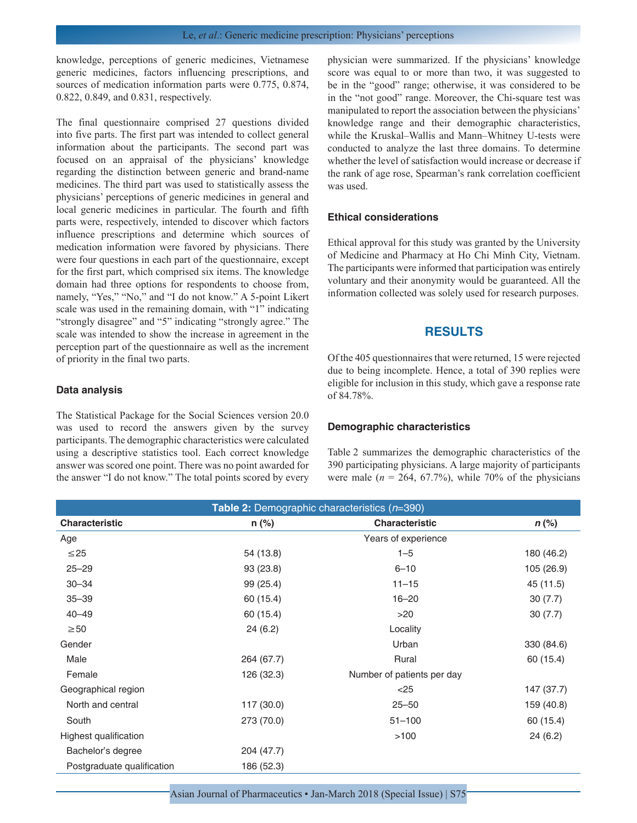knowledge, perceptions of generic medicines, Vietnamese generic medicines, factors influencing prescriptions, and sources of medication information parts were 0.775, 0.874, 0.822, 0.849, and 0.831, respectively.

The final questionnaire comprised 27 questions divided into five parts. The first part was intended to collect general information about the participants. The second part was focused on an appraisal of the physicians' knowledge regarding the distinction between generic and brand-name medicines. The third part was used to statistically assess the physicians' perceptions of generic medicines in general and local generic medicines in particular. The fourth and fifth parts were, respectively, intended to discover which factors influence prescriptions and determine which sources of medication information were favored by physicians. There were four questions in each part of the questionnaire, except for the first part, which comprised six items. The knowledge domain had three options for respondents to choose from, namely, "Yes," "No," and "I do not know." A 5-point Likert scale was used in the remaining domain, with "1" indicating "strongly disagree" and "5" indicating "strongly agree." The scale was intended to show the increase in agreement in the perception part of the questionnaire as well as the increment of priority in the final two parts.

#### **Data analysis**

The Statistical Package for the Social Sciences version 20.0 was used to record the answers given by the survey participants. The demographic characteristics were calculated using a descriptive statistics tool. Each correct knowledge answer was scored one point. There was no point awarded for the answer "I do not know." The total points scored by every physician were summarized. If the physicians' knowledge score was equal to or more than two, it was suggested to be in the "good" range; otherwise, it was considered to be in the "not good" range. Moreover, the Chi-square test was manipulated to report the association between the physicians' knowledge range and their demographic characteristics, while the Kruskal–Wallis and Mann–Whitney U-tests were conducted to analyze the last three domains. To determine whether the level of satisfaction would increase or decrease if the rank of age rose, Spearman's rank correlation coefficient was used.

#### **Ethical considerations**

Ethical approval for this study was granted by the University of Medicine and Pharmacy at Ho Chi Minh City, Vietnam. The participants were informed that participation was entirely voluntary and their anonymity would be guaranteed. All the information collected was solely used for research purposes.

## **RESULTS**

Of the 405 questionnaires that were returned, 15 were rejected due to being incomplete. Hence, a total of 390 replies were eligible for inclusion in this study, which gave a response rate of 84.78%.

#### **Demographic characteristics**

Table 2 summarizes the demographic characteristics of the 390 participating physicians. A large majority of participants were male  $(n = 264, 67.7\%)$ , while 70% of the physicians

| Table 2: Demographic characteristics (n=390) |            |                            |            |  |  |  |  |
|----------------------------------------------|------------|----------------------------|------------|--|--|--|--|
| <b>Characteristic</b>                        | $n$ (%)    | <b>Characteristic</b>      | $n$ (%)    |  |  |  |  |
| Age                                          |            | Years of experience        |            |  |  |  |  |
| $\leq$ 25                                    | 54 (13.8)  | $1 - 5$                    | 180 (46.2) |  |  |  |  |
| $25 - 29$                                    | 93 (23.8)  | $6 - 10$                   | 105 (26.9) |  |  |  |  |
| $30 - 34$                                    | 99 (25.4)  | $11 - 15$                  | 45 (11.5)  |  |  |  |  |
| $35 - 39$                                    | 60 (15.4)  | $16 - 20$                  | 30(7.7)    |  |  |  |  |
| $40 - 49$                                    | 60 (15.4)  | >20                        | 30(7.7)    |  |  |  |  |
| $\geq 50$                                    | 24(6.2)    | Locality                   |            |  |  |  |  |
| Gender                                       |            | Urban                      | 330 (84.6) |  |  |  |  |
| Male                                         | 264 (67.7) | Rural                      | 60 (15.4)  |  |  |  |  |
| Female                                       | 126 (32.3) | Number of patients per day |            |  |  |  |  |
| Geographical region                          |            | $<$ 25                     | 147 (37.7) |  |  |  |  |
| North and central                            | 117 (30.0) | $25 - 50$                  | 159 (40.8) |  |  |  |  |
| South                                        | 273 (70.0) | $51 - 100$                 | 60 (15.4)  |  |  |  |  |
| Highest qualification                        |            | >100                       | 24(6.2)    |  |  |  |  |
| Bachelor's degree                            | 204 (47.7) |                            |            |  |  |  |  |
| Postgraduate qualification                   | 186 (52.3) |                            |            |  |  |  |  |

Asian Journal of Pharmaceutics • Jan-March 2018 (Special Issue) | S75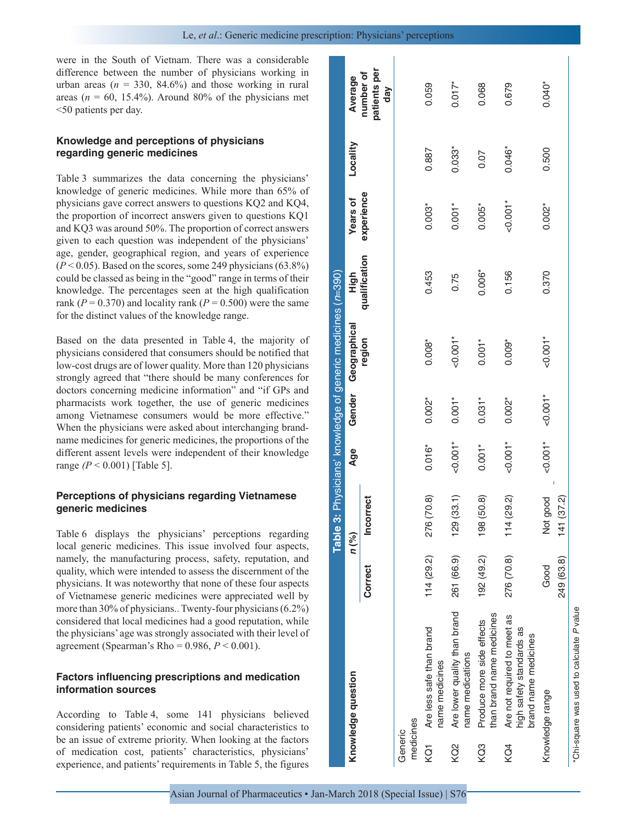were in the South of Vietnam. There was a considerable difference between the number of physicians working in urban areas ( $n = 330, 84.6\%$ ) and those working in rural areas ( $n = 60$ , 15.4%). Around 80% of the physicians met <50 patients per day.

## **Knowledge and perceptions of physicians regarding generic medicines**

Table 3 summarizes the data concerning the physicians' knowledge of generic medicines. While more than 65% of physicians gave correct answers to questions KQ2 and KQ4, the proportion of incorrect answers given to questions KQ1 and KQ3 was around 50%. The proportion of correct answers given to each question was independent of the physicians' age, gender, geographical region, and years of experience  $(P<0.05)$ . Based on the scores, some 249 physicians  $(63.8\%)$ could be classed as being in the "good" range in terms of their knowledge. The percentages seen at the high qualification rank ( $P = 0.370$ ) and locality rank ( $P = 0.500$ ) were the same for the distinct values of the knowledge range.

Based on the data presented in Table 4, the majority of physicians considered that consumers should be notified that low-cost drugs are of lower quality. More than 120 physicians strongly agreed that "there should be many conferences for doctors concerning medicine information" and "if GPs and pharmacists work together, the use of generic medicines among Vietnamese consumers would be more effective." When the physicians were asked about interchanging brandname medicines for generic medicines, the proportions of the different assent levels were independent of their knowledge range *(P* < 0.001) [Table 5].

## **Perceptions of physicians regarding Vietnamese generic medicines**

Table 6 displays the physicians' perceptions regarding local generic medicines. This issue involved four aspects, namely, the manufacturing process, safety, reputation, and quality, which were intended to assess the discernment of the physicians. It was noteworthy that none of these four aspects of Vietnamese generic medicines were appreciated well by more than 30% of physicians.. Twenty-four physicians (6.2%) considered that local medicines had a good reputation, while the physicians' age was strongly associated with their level of agreement (Spearman's Rho = 0.986, *P* < 0.001).

## **Factors influencing prescriptions and medication information sources**

According to Table 4, some 141 physicians believed considering patients' economic and social characteristics to be an issue of extreme priority. When looking at the factors of medication cost, patients' characteristics, physicians' experience, and patients' requirements in Table 5, the figures

|                      |                                                                                 |                    |                            |            |            | Table 3: Physicians' knowledge of generic medicines (n=390) |               |                 |          |                                  |
|----------------------|---------------------------------------------------------------------------------|--------------------|----------------------------|------------|------------|-------------------------------------------------------------|---------------|-----------------|----------|----------------------------------|
|                      | Knowledge question                                                              |                    | $n$ $\binom{9}{6}$         | Age        | Gender     | Geographical                                                | High          | <b>Years of</b> | Locality | Average                          |
|                      |                                                                                 | Correct            | <b>Incorrect</b>           |            |            | region                                                      | qualification | experience      |          | patients per<br>number of<br>day |
| medicines<br>Generic |                                                                                 |                    |                            |            |            |                                                             |               |                 |          |                                  |
| KQ1                  | Are less safe than brand<br>name medicines                                      | 114(29.2)          | 276 (70.8)                 | $0.016*$   | $0.002*$   | $0.008*$                                                    | 0.453         | $0.003*$        | 0.887    | 0.059                            |
| KQ <sub>2</sub>      | Are lower quality than brand<br>name medications                                | 261 (66.9)         | (33.1)<br>129              | $-0.001*$  | $0.001*$   | $-0.001$ <sup>*</sup>                                       | 0.75          | $0.001*$        | $0.033*$ | $0.017*$                         |
| KQ3                  | than brand name medicines<br>Produce more side effects                          | 192 (49.2)         | (50.8)<br>198              | $0.001*$   | $0.031*$   | $0.001*$                                                    | $0.006*$      | $0.005*$        | 0.07     | 0.068                            |
| KQ4                  | Are not required to meet as<br>high safety standards as<br>brand name medicines | 276 (70.8)         | (29.2)<br>114              | $-0.001*$  | $0.002*$   | $0.009*$                                                    | 0.156         | $-0.001*$       | $0.046*$ | 0.679                            |
|                      | Knowledge range                                                                 | 249 (63.8)<br>Good | good<br>(37.2)<br>ğ<br>141 | $-0.001$ * | $-0.001$ * | $-0.001$ *                                                  | 0.370         | $0.002*$        | 0.500    | $0.040*$                         |
|                      | *Chi-square was used to calculate P value                                       |                    |                            |            |            |                                                             |               |                 |          |                                  |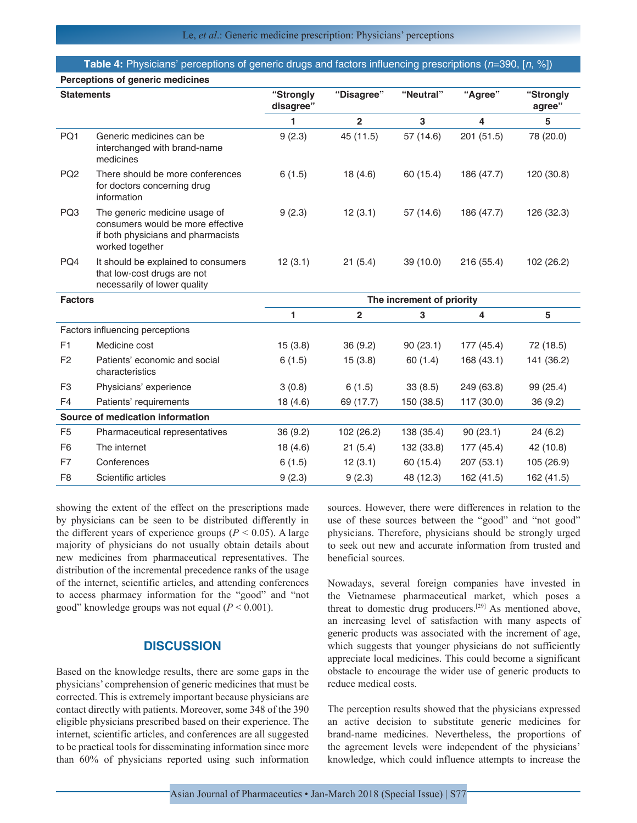#### **Table 4:** Physicians' perceptions of generic drugs and factors influencing prescriptions (*n*=390, [*n*, %]) **Perceptions of generic medicines**

| <b>Statements</b>                |                                                                                                                             | "Strongly | "Disagree"     | "Neutral"                 | "Agree"                 | "Strongly  |
|----------------------------------|-----------------------------------------------------------------------------------------------------------------------------|-----------|----------------|---------------------------|-------------------------|------------|
|                                  |                                                                                                                             | disagree" |                |                           |                         | agree"     |
|                                  |                                                                                                                             | 1         | $\overline{2}$ | 3                         | $\overline{\mathbf{4}}$ | 5          |
| PQ1                              | Generic medicines can be<br>interchanged with brand-name<br>medicines                                                       | 9(2.3)    | 45 (11.5)      | 57 (14.6)                 | 201 (51.5)              | 78 (20.0)  |
| PQ <sub>2</sub>                  | There should be more conferences<br>for doctors concerning drug<br>information                                              | 6(1.5)    | 18(4.6)        | 60 (15.4)                 | 186 (47.7)              | 120 (30.8) |
| PQ3                              | The generic medicine usage of<br>consumers would be more effective<br>if both physicians and pharmacists<br>worked together | 9(2.3)    | 12(3.1)        | 57 (14.6)                 | 186 (47.7)              | 126 (32.3) |
| PQ4                              | It should be explained to consumers<br>that low-cost drugs are not<br>necessarily of lower quality                          | 12(3.1)   | 21(5.4)        | 39 (10.0)                 | 216 (55.4)              | 102 (26.2) |
| <b>Factors</b>                   |                                                                                                                             |           |                | The increment of priority |                         |            |
|                                  |                                                                                                                             | 1         | $\overline{2}$ | 3                         | 4                       | 5          |
|                                  | Factors influencing perceptions                                                                                             |           |                |                           |                         |            |
| F1                               | Medicine cost                                                                                                               | 15(3.8)   | 36 (9.2)       | 90(23.1)                  | 177 (45.4)              | 72 (18.5)  |
| F <sub>2</sub>                   | Patients' economic and social<br>characteristics                                                                            | 6(1.5)    | 15(3.8)        | 60 (1.4)                  | 168 (43.1)              | 141 (36.2) |
| F <sub>3</sub>                   | Physicians' experience                                                                                                      | 3(0.8)    | 6(1.5)         | 33(8.5)                   | 249 (63.8)              | 99 (25.4)  |
| F <sub>4</sub>                   | Patients' requirements                                                                                                      | 18 (4.6)  | 69 (17.7)      | 150 (38.5)                | 117 (30.0)              | 36 (9.2)   |
| Source of medication information |                                                                                                                             |           |                |                           |                         |            |
| F <sub>5</sub>                   | Pharmaceutical representatives                                                                                              | 36(9.2)   | 102 (26.2)     | 138 (35.4)                | 90(23.1)                | 24(6.2)    |
| F <sub>6</sub>                   | The internet                                                                                                                | 18(4.6)   | 21(5.4)        | 132 (33.8)                | 177 (45.4)              | 42 (10.8)  |
| F7                               | Conferences                                                                                                                 | 6(1.5)    | 12(3.1)        | 60 (15.4)                 | 207 (53.1)              | 105 (26.9) |
| F <sub>8</sub>                   | Scientific articles                                                                                                         | 9(2.3)    | 9(2.3)         | 48 (12.3)                 | 162 (41.5)              | 162 (41.5) |

showing the extent of the effect on the prescriptions made by physicians can be seen to be distributed differently in the different years of experience groups ( $P \le 0.05$ ). A large majority of physicians do not usually obtain details about new medicines from pharmaceutical representatives. The distribution of the incremental precedence ranks of the usage of the internet, scientific articles, and attending conferences to access pharmacy information for the "good" and "not good" knowledge groups was not equal (*P* < 0.001).

## **DISCUSSION**

Based on the knowledge results, there are some gaps in the physicians' comprehension of generic medicines that must be corrected. This is extremely important because physicians are contact directly with patients. Moreover, some 348 of the 390 eligible physicians prescribed based on their experience. The internet, scientific articles, and conferences are all suggested to be practical tools for disseminating information since more than 60% of physicians reported using such information sources. However, there were differences in relation to the use of these sources between the "good" and "not good" physicians. Therefore, physicians should be strongly urged to seek out new and accurate information from trusted and beneficial sources.

Nowadays, several foreign companies have invested in the Vietnamese pharmaceutical market, which poses a threat to domestic drug producers.[29] As mentioned above, an increasing level of satisfaction with many aspects of generic products was associated with the increment of age, which suggests that younger physicians do not sufficiently appreciate local medicines. This could become a significant obstacle to encourage the wider use of generic products to reduce medical costs.

The perception results showed that the physicians expressed an active decision to substitute generic medicines for brand-name medicines. Nevertheless, the proportions of the agreement levels were independent of the physicians' knowledge, which could influence attempts to increase the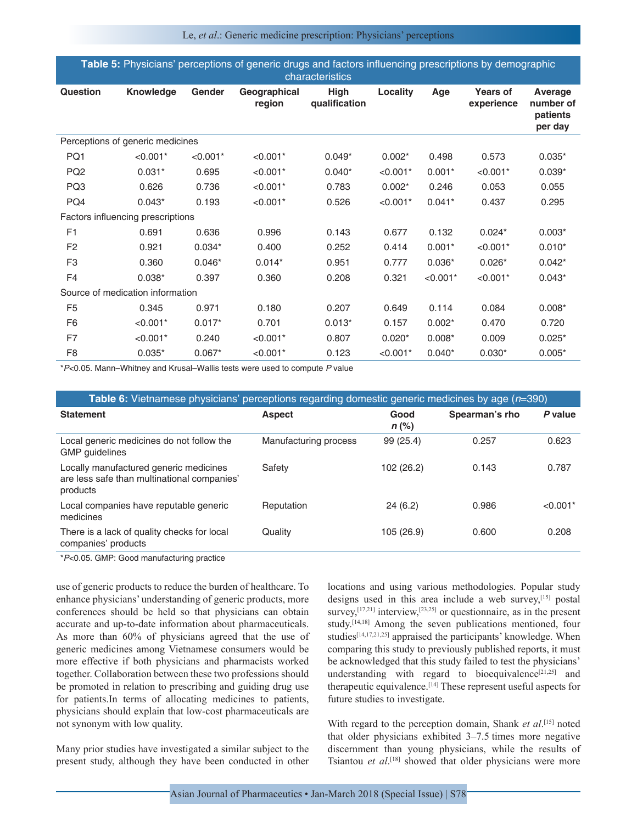Le, *et al*.: Generic medicine prescription: Physicians' perceptions

| <b>Table 5:</b> Physicians' perceptions of generic drugs and factors influencing prescriptions by demographic |  |
|---------------------------------------------------------------------------------------------------------------|--|
| characteristics '                                                                                             |  |

| Question                         | <b>Knowledge</b>                  | Gender     | Geographical<br>region | <b>High</b><br>qualification | Locality   | Age        | <b>Years of</b><br>experience | Average<br>number of<br>patients<br>per day |  |
|----------------------------------|-----------------------------------|------------|------------------------|------------------------------|------------|------------|-------------------------------|---------------------------------------------|--|
|                                  | Perceptions of generic medicines  |            |                        |                              |            |            |                               |                                             |  |
| PQ1                              | $< 0.001$ *                       | $< 0.001*$ | $< 0.001*$             | $0.049*$                     | $0.002*$   | 0.498      | 0.573                         | $0.035*$                                    |  |
| PQ <sub>2</sub>                  | $0.031*$                          | 0.695      | $< 0.001*$             | $0.040*$                     | $< 0.001*$ | $0.001*$   | $< 0.001*$                    | $0.039*$                                    |  |
| PQ3                              | 0.626                             | 0.736      | $< 0.001*$             | 0.783                        | $0.002*$   | 0.246      | 0.053                         | 0.055                                       |  |
| PQ4                              | $0.043*$                          | 0.193      | $< 0.001*$             | 0.526                        | $< 0.001*$ | $0.041*$   | 0.437                         | 0.295                                       |  |
|                                  | Factors influencing prescriptions |            |                        |                              |            |            |                               |                                             |  |
| F <sub>1</sub>                   | 0.691                             | 0.636      | 0.996                  | 0.143                        | 0.677      | 0.132      | $0.024*$                      | $0.003*$                                    |  |
| F <sub>2</sub>                   | 0.921                             | $0.034*$   | 0.400                  | 0.252                        | 0.414      | $0.001*$   | $< 0.001*$                    | $0.010*$                                    |  |
| F <sub>3</sub>                   | 0.360                             | $0.046*$   | $0.014*$               | 0.951                        | 0.777      | $0.036*$   | $0.026*$                      | $0.042*$                                    |  |
| F <sub>4</sub>                   | $0.038*$                          | 0.397      | 0.360                  | 0.208                        | 0.321      | $< 0.001*$ | $< 0.001*$                    | $0.043*$                                    |  |
| Source of medication information |                                   |            |                        |                              |            |            |                               |                                             |  |
| F <sub>5</sub>                   | 0.345                             | 0.971      | 0.180                  | 0.207                        | 0.649      | 0.114      | 0.084                         | $0.008*$                                    |  |
| F <sub>6</sub>                   | $< 0.001*$                        | $0.017*$   | 0.701                  | $0.013*$                     | 0.157      | $0.002*$   | 0.470                         | 0.720                                       |  |
| F7                               | $< 0.001*$                        | 0.240      | $< 0.001*$             | 0.807                        | $0.020*$   | $0.008*$   | 0.009                         | $0.025*$                                    |  |
| F <sub>8</sub>                   | $0.035*$                          | $0.067*$   | $< 0.001*$             | 0.123                        | $< 0.001*$ | $0.040*$   | $0.030*$                      | $0.005*$                                    |  |

\**P*<0.05. Mann–Whitney and Krusal–Wallis tests were used to compute *P* value

| Table 6: Vietnamese physicians' perceptions regarding domestic generic medicines by age (n=390)   |                       |                 |                |            |  |  |  |  |
|---------------------------------------------------------------------------------------------------|-----------------------|-----------------|----------------|------------|--|--|--|--|
| <b>Statement</b>                                                                                  | <b>Aspect</b>         | Good<br>$n$ (%) | Spearman's rho | P value    |  |  |  |  |
| Local generic medicines do not follow the<br><b>GMP</b> quidelines                                | Manufacturing process | 99 (25.4)       | 0.257          | 0.623      |  |  |  |  |
| Locally manufactured generic medicines<br>are less safe than multinational companies'<br>products | Safety                | 102 (26.2)      | 0.143          | 0.787      |  |  |  |  |
| Local companies have reputable generic<br>medicines                                               | Reputation            | 24(6.2)         | 0.986          | $< 0.001*$ |  |  |  |  |
| There is a lack of quality checks for local<br>companies' products                                | Quality               | 105 (26.9)      | 0.600          | 0.208      |  |  |  |  |

\**P*<0.05. GMP: Good manufacturing practice

use of generic products to reduce the burden of healthcare. To enhance physicians' understanding of generic products, more conferences should be held so that physicians can obtain accurate and up-to-date information about pharmaceuticals. As more than 60% of physicians agreed that the use of generic medicines among Vietnamese consumers would be more effective if both physicians and pharmacists worked together. Collaboration between these two professions should be promoted in relation to prescribing and guiding drug use for patients.In terms of allocating medicines to patients, physicians should explain that low-cost pharmaceuticals are not synonym with low quality.

Many prior studies have investigated a similar subject to the present study, although they have been conducted in other locations and using various methodologies. Popular study designs used in this area include a web survey, [15] postal survey,<sup>[17,21]</sup> interview,<sup>[23,25]</sup> or questionnaire, as in the present study.[14,18] Among the seven publications mentioned, four studies $[14,17,21,25]$  appraised the participants' knowledge. When comparing this study to previously published reports, it must be acknowledged that this study failed to test the physicians' understanding with regard to bioequivalence<sup>[21,25]</sup> and therapeutic equivalence.[14] These represent useful aspects for future studies to investigate.

With regard to the perception domain, Shank *et al*. [15] noted that older physicians exhibited 3–7.5 times more negative discernment than young physicians, while the results of Tsiantou *et al*. [18] showed that older physicians were more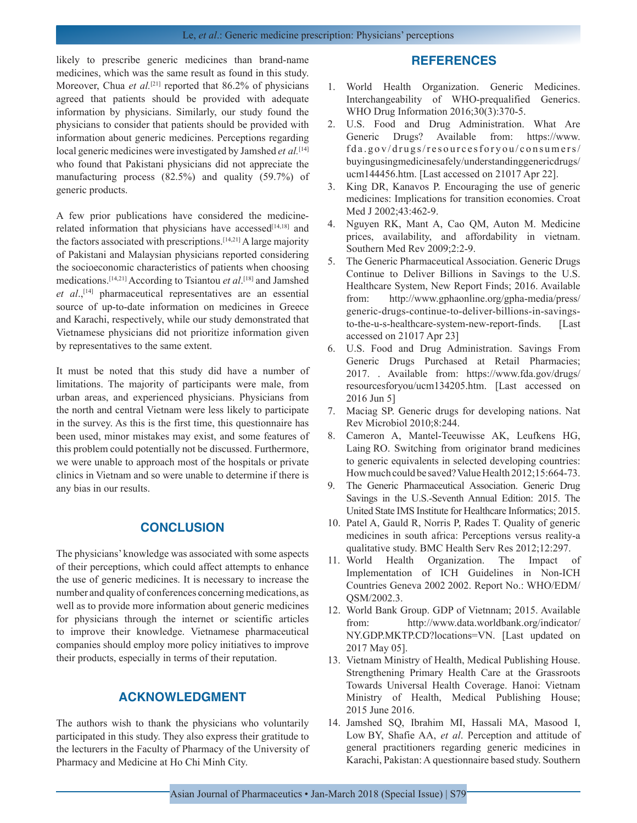likely to prescribe generic medicines than brand-name medicines, which was the same result as found in this study. Moreover, Chua *et al.*<sup>[21]</sup> reported that 86.2% of physicians agreed that patients should be provided with adequate information by physicians. Similarly, our study found the physicians to consider that patients should be provided with information about generic medicines. Perceptions regarding local generic medicines were investigated by Jamshed *et al.*[14] who found that Pakistani physicians did not appreciate the manufacturing process (82.5%) and quality (59.7%) of generic products.

A few prior publications have considered the medicinerelated information that physicians have accessed<sup>[14,18]</sup> and the factors associated with prescriptions.<sup>[14,21]</sup> A large majority of Pakistani and Malaysian physicians reported considering the socioeconomic characteristics of patients when choosing medications.[14,21] According to Tsiantou *et al*. [18] and Jamshed *et al*.,[14] pharmaceutical representatives are an essential source of up-to-date information on medicines in Greece and Karachi, respectively, while our study demonstrated that Vietnamese physicians did not prioritize information given by representatives to the same extent.

It must be noted that this study did have a number of limitations. The majority of participants were male, from urban areas, and experienced physicians. Physicians from the north and central Vietnam were less likely to participate in the survey. As this is the first time, this questionnaire has been used, minor mistakes may exist, and some features of this problem could potentially not be discussed. Furthermore, we were unable to approach most of the hospitals or private clinics in Vietnam and so were unable to determine if there is any bias in our results.

## **CONCLUSION**

The physicians' knowledge was associated with some aspects of their perceptions, which could affect attempts to enhance the use of generic medicines. It is necessary to increase the number and quality of conferences concerning medications, as well as to provide more information about generic medicines for physicians through the internet or scientific articles to improve their knowledge. Vietnamese pharmaceutical companies should employ more policy initiatives to improve their products, especially in terms of their reputation.

## **ACKNOWLEDGMENT**

The authors wish to thank the physicians who voluntarily participated in this study. They also express their gratitude to the lecturers in the Faculty of Pharmacy of the University of Pharmacy and Medicine at Ho Chi Minh City.

## **REFERENCES**

- 1. World Health Organization. Generic Medicines. Interchangeability of WHO-prequalified Generics. WHO Drug Information 2016;30(3):370-5.
- 2. U.S. Food and Drug Administration. What Are Generic Drugs? Available from: https://www. fda.gov/drugs/resourcesforyou/consumers/ buyingusingmedicinesafely/understandinggenericdrugs/ ucm144456.htm. [Last accessed on 21017 Apr 22].
- 3. King DR, Kanavos P. Encouraging the use of generic medicines: Implications for transition economies. Croat Med J 2002;43:462-9.
- 4. Nguyen RK, Mant A, Cao QM, Auton M. Medicine prices, availability, and affordability in vietnam. Southern Med Rev 2009;2:2-9.
- 5. The Generic Pharmaceutical Association. Generic Drugs Continue to Deliver Billions in Savings to the U.S. Healthcare System, New Report Finds; 2016. Available from: http://www.gphaonline.org/gpha-media/press/ generic-drugs-continue-to-deliver-billions-in-savingsto-the-u-s-healthcare-system-new-report-finds. [Last accessed on 21017 Apr 23]
- 6. U.S. Food and Drug Administration. Savings From Generic Drugs Purchased at Retail Pharmacies; 2017. . Available from: https://www.fda.gov/drugs/ resourcesforyou/ucm134205.htm. [Last accessed on 2016 Jun 5]
- 7. Maciag SP. Generic drugs for developing nations. Nat Rev Microbiol 2010;8:244.
- 8. Cameron A, Mantel-Teeuwisse AK, Leufkens HG, Laing RO. Switching from originator brand medicines to generic equivalents in selected developing countries: How much could be saved? Value Health 2012;15:664-73.
- 9. The Generic Pharmaceutical Association. Generic Drug Savings in the U.S.-Seventh Annual Edition: 2015. The United State IMS Institute for Healthcare Informatics; 2015.
- 10. Patel A, Gauld R, Norris P, Rades T. Quality of generic medicines in south africa: Perceptions versus reality-a qualitative study. BMC Health Serv Res 2012;12:297.
- 11. World Health Organization. The Impact of Implementation of ICH Guidelines in Non-ICH Countries Geneva 2002 2002. Report No.: WHO/EDM/ QSM/2002.3.
- 12. World Bank Group. GDP of Vietnnam; 2015. Available from: http://www.data.worldbank.org/indicator/ NY.GDP.MKTP.CD?locations=VN. [Last updated on 2017 May 05].
- 13. Vietnam Ministry of Health, Medical Publishing House. Strengthening Primary Health Care at the Grassroots Towards Universal Health Coverage. Hanoi: Vietnam Ministry of Health, Medical Publishing House; 2015 June 2016.
- 14. Jamshed SQ, Ibrahim MI, Hassali MA, Masood I, Low BY, Shafie AA, *et al*. Perception and attitude of general practitioners regarding generic medicines in Karachi, Pakistan: A questionnaire based study. Southern